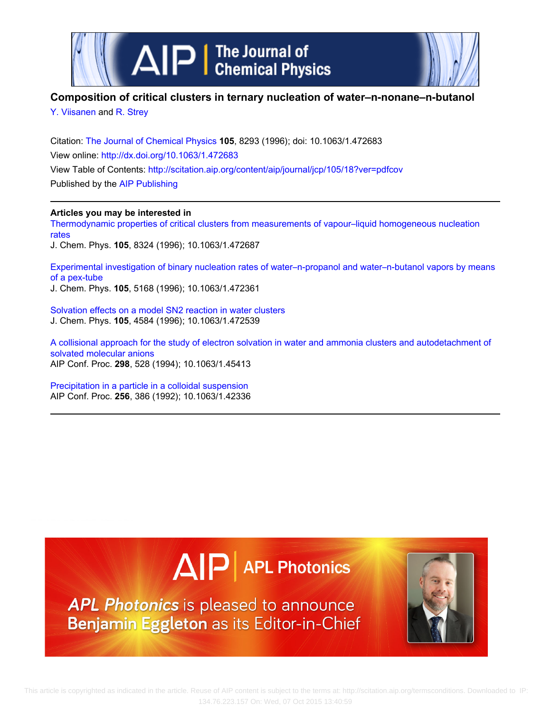

# **Composition of critical clusters in ternary nucleation of water–n‐nonane–n‐butanol**

[Y. Viisanen](http://scitation.aip.org/search?value1=Y.+Viisanen&option1=author) and [R. Strey](http://scitation.aip.org/search?value1=R.+Strey&option1=author)

Citation: [The Journal of Chemical Physics](http://scitation.aip.org/content/aip/journal/jcp?ver=pdfcov) **105**, 8293 (1996); doi: 10.1063/1.472683 View online: <http://dx.doi.org/10.1063/1.472683> View Table of Contents: <http://scitation.aip.org/content/aip/journal/jcp/105/18?ver=pdfcov> Published by the [AIP Publishing](http://scitation.aip.org/content/aip?ver=pdfcov)

## **Articles you may be interested in**

[Thermodynamic properties of critical clusters from measurements of vapour–liquid homogeneous nucleation](http://scitation.aip.org/content/aip/journal/jcp/105/18/10.1063/1.472687?ver=pdfcov) [rates](http://scitation.aip.org/content/aip/journal/jcp/105/18/10.1063/1.472687?ver=pdfcov) J. Chem. Phys. **105**, 8324 (1996); 10.1063/1.472687

[Experimental investigation of binary nucleation rates of water–n‐propanol and water–n‐butanol vapors by means](http://scitation.aip.org/content/aip/journal/jcp/105/12/10.1063/1.472361?ver=pdfcov) [of a pex‐tube](http://scitation.aip.org/content/aip/journal/jcp/105/12/10.1063/1.472361?ver=pdfcov)

J. Chem. Phys. **105**, 5168 (1996); 10.1063/1.472361

[Solvation effects on a model SN2 reaction in water clusters](http://scitation.aip.org/content/aip/journal/jcp/105/11/10.1063/1.472539?ver=pdfcov) J. Chem. Phys. **105**, 4584 (1996); 10.1063/1.472539

[A collisional approach for the study of electron solvation in water and ammonia clusters and autodetachment of](http://scitation.aip.org/content/aip/proceeding/aipcp/10.1063/1.45413?ver=pdfcov) [solvated molecular anions](http://scitation.aip.org/content/aip/proceeding/aipcp/10.1063/1.45413?ver=pdfcov) AIP Conf. Proc. **298**, 528 (1994); 10.1063/1.45413

[Precipitation in a particle in a colloidal suspension](http://scitation.aip.org/content/aip/proceeding/aipcp/10.1063/1.42336?ver=pdfcov) AIP Conf. Proc. **256**, 386 (1992); 10.1063/1.42336

# $\Delta$   $\vert$  P | APL Photonics

APL Photonics is pleased to announce Benjamin Eggleton as its Editor-in-Chief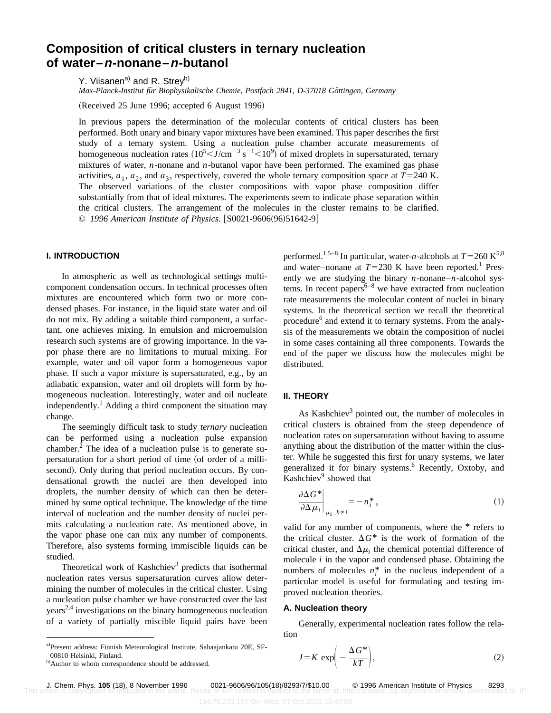# **Composition of critical clusters in ternary nucleation of water–n-nonane–n-butanol**

Y. Viisanen<sup>a)</sup> and R. Strey<sup>b)</sup>

*Max-Planck-Institut für Biophysikalische Chemie, Postfach 2841, D-37018 Göttingen, Germany* 

 $(Received 25 June 1996; accepted 6 August 1996)$ 

In previous papers the determination of the molecular contents of critical clusters has been performed. Both unary and binary vapor mixtures have been examined. This paper describes the first study of a ternary system. Using a nucleation pulse chamber accurate measurements of homogeneous nucleation rates  $(10^5< J/cm^{-3} s^{-1}<10^9)$  of mixed droplets in supersaturated, ternary mixtures of water, *n*-nonane and *n*-butanol vapor have been performed. The examined gas phase activities,  $a_1$ ,  $a_2$ , and  $a_3$ , respectively, covered the whole ternary composition space at  $T=240$  K. The observed variations of the cluster compositions with vapor phase composition differ substantially from that of ideal mixtures. The experiments seem to indicate phase separation within the critical clusters. The arrangement of the molecules in the cluster remains to be clarified. © 1996 American Institute of Physics. [S0021-9606(96)51642-9]

## **I. INTRODUCTION**

In atmospheric as well as technological settings multicomponent condensation occurs. In technical processes often mixtures are encountered which form two or more condensed phases. For instance, in the liquid state water and oil do not mix. By adding a suitable third component, a surfactant, one achieves mixing. In emulsion and microemulsion research such systems are of growing importance. In the vapor phase there are no limitations to mutual mixing. For example, water and oil vapor form a homogeneous vapor phase. If such a vapor mixture is supersaturated, e.g., by an adiabatic expansion, water and oil droplets will form by homogeneous nucleation. Interestingly, water and oil nucleate independently.<sup>1</sup> Adding a third component the situation may change.

The seemingly difficult task to study *ternary* nucleation can be performed using a nucleation pulse expansion chamber.<sup>2</sup> The idea of a nucleation pulse is to generate supersaturation for a short period of time (of order of a millisecond). Only during that period nucleation occurs. By condensational growth the nuclei are then developed into droplets, the number density of which can then be determined by some optical technique. The knowledge of the time interval of nucleation and the number density of nuclei permits calculating a nucleation rate. As mentioned above, in the vapor phase one can mix any number of components. Therefore, also systems forming immiscible liquids can be studied.

Theoretical work of Kashchiev<sup>3</sup> predicts that isothermal nucleation rates versus supersaturation curves allow determining the number of molecules in the critical cluster. Using a nucleation pulse chamber we have constructed over the last  $years<sup>2,4</sup>$  investigations on the binary homogeneous nucleation of a variety of partially miscible liquid pairs have been performed.<sup>1,5–8</sup> In particular, water-*n*-alcohols at  $T=260 \text{ K}^{5,8}$ and water–nonane at  $T=230$  K have been reported.<sup>1</sup> Presently we are studying the binary *n*-nonane–*n*-alcohol systems. In recent papers<sup> $6-8$ </sup> we have extracted from nucleation rate measurements the molecular content of nuclei in binary systems. In the theoretical section we recall the theoretical procedure<sup>6</sup> and extend it to ternary systems. From the analysis of the measurements we obtain the composition of nuclei in some cases containing all three components. Towards the end of the paper we discuss how the molecules might be distributed.

#### **II. THEORY**

As Kashchiev<sup>3</sup> pointed out, the number of molecules in critical clusters is obtained from the steep dependence of nucleation rates on supersaturation without having to assume anything about the distribution of the matter within the cluster. While he suggested this first for unary systems, we later generalized it for binary systems.<sup>6</sup> Recently, Oxtoby, and Kashchiev<sup>9</sup> showed that

$$
\left. \frac{\partial \Delta G^*}{\partial \Delta \mu_i} \right|_{\mu_k, k \neq i} = -n_i^*, \tag{1}
$$

valid for any number of components, where the \* refers to the critical cluster.  $\Delta G^*$  is the work of formation of the critical cluster, and  $\Delta \mu_i$  the chemical potential difference of molecule *i* in the vapor and condensed phase. Obtaining the numbers of molecules  $n_i^*$  in the nucleus independent of a particular model is useful for formulating and testing improved nucleation theories.

#### **A. Nucleation theory**

Generally, experimental nucleation rates follow the relation

$$
J = K \exp\left(-\frac{\Delta G^*}{kT}\right),\tag{2}
$$

a)Present address: Finnish Meteorological Institute, Sahaajankatu 20E, SF-00810 Helsinki, Finland.

b) Author to whom correspondence should be addressed.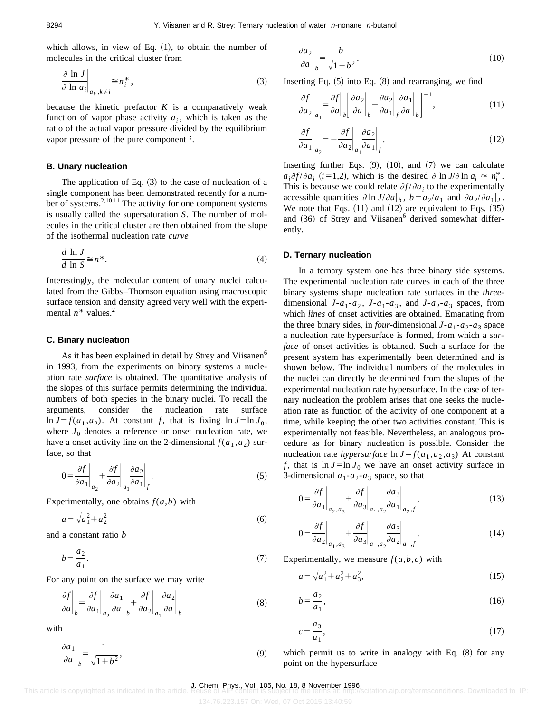which allows, in view of Eq.  $(1)$ , to obtain the number of molecules in the critical cluster from

$$
\left. \frac{\partial \ln J}{\partial \ln a_i} \right|_{a_k, k \neq i} \cong n_i^*, \tag{3}
$$

because the kinetic prefactor  $K$  is a comparatively weak function of vapor phase activity  $a_i$ , which is taken as the ratio of the actual vapor pressure divided by the equilibrium vapor pressure of the pure component *i*.

## **B. Unary nucleation**

The application of Eq.  $(3)$  to the case of nucleation of a single component has been demonstrated recently for a number of systems.<sup>2,10,11</sup> The activity for one component systems is usually called the supersaturation *S*. The number of molecules in the critical cluster are then obtained from the slope of the isothermal nucleation rate *curve*

$$
\frac{d \ln J}{d \ln S} \cong n^*.
$$
\n(4)

Interestingly, the molecular content of unary nuclei calculated from the Gibbs–Thomson equation using macroscopic surface tension and density agreed very well with the experimental  $n^*$  values.<sup>2</sup>

#### **C. Binary nucleation**

As it has been explained in detail by Strey and Viisanen<sup>6</sup> in 1993, from the experiments on binary systems a nucleation rate *surface* is obtained. The quantitative analysis of the slopes of this surface permits determining the individual numbers of both species in the binary nuclei. To recall the arguments, consider the nucleation rate surface  $\ln J = f(a_1, a_2)$ . At constant *f*, that is fixing  $\ln J = \ln J_0$ , where  $J_0$  denotes a reference or onset nucleation rate, we have a onset activity line on the 2-dimensional  $f(a_1, a_2)$  surface, so that

$$
0 = \frac{\partial f}{\partial a_1}\bigg|_{a_2} + \frac{\partial f}{\partial a_2}\bigg|_{a_1} \frac{\partial a_2}{\partial a_1}\bigg|_{f}.
$$
 (5)

Experimentally, one obtains  $f(a,b)$  with

$$
a = \sqrt{a_1^2 + a_2^2} \tag{6}
$$

and a constant ratio *b*

$$
b = \frac{a_2}{a_1}.\tag{7}
$$

For any point on the surface we may write

$$
\left. \frac{\partial f}{\partial a} \right|_b = \left. \frac{\partial f}{\partial a_1} \right|_{a_2} \left. \frac{\partial a_1}{\partial a} \right|_b + \left. \frac{\partial f}{\partial a_2} \right|_{a_1} \left. \frac{\partial a_2}{\partial a} \right|_b \tag{8}
$$

with

$$
\left. \frac{\partial a_1}{\partial a} \right|_b = \frac{1}{\sqrt{1 + b^2}},\tag{9}
$$

$$
\left. \frac{\partial a_2}{\partial a} \right|_b = \frac{b}{\sqrt{1 + b^2}}.\tag{10}
$$

Inserting Eq.  $(5)$  into Eq.  $(8)$  and rearranging, we find

$$
\left. \frac{\partial f}{\partial a_2} \right|_{a_1} = \left. \frac{\partial f}{\partial a} \right|_b \left[ \left. \frac{\partial a_2}{\partial a} \right|_b - \left. \frac{\partial a_2}{\partial a_1} \right|_f \left. \frac{\partial a_1}{\partial a} \right|_b \right]^{-1},\tag{11}
$$

$$
\left. \frac{\partial f}{\partial a_1} \right|_{a_2} = -\frac{\partial f}{\partial a_2} \left|_{a_1} \frac{\partial a_2}{\partial a_1} \right|_f.
$$
\n(12)

Inserting further Eqs.  $(9)$ ,  $(10)$ , and  $(7)$  we can calculate  $a_i \partial f / \partial a_i$  (*i*=1,2), which is the desired  $\partial \ln J / \partial \ln a_i \approx n_i^*$ . This is because we could relate  $\partial f / \partial a_i$  to the experimentally accessible quantities  $\partial \ln J/\partial a \big|_b$ ,  $b = a_2/a_1$  and  $\partial a_2/\partial a_1 \big|_J$ . We note that Eqs.  $(11)$  and  $(12)$  are equivalent to Eqs.  $(35)$ and  $(36)$  of Strey and Viisanen<sup>6</sup> derived somewhat differently.

#### **D. Ternary nucleation**

In a ternary system one has three binary side systems. The experimental nucleation rate curves in each of the three binary systems shape nucleation rate surfaces in the *three*dimensional  $J - a_1 - a_2$ ,  $J - a_1 - a_3$ , and  $J - a_2 - a_3$  spaces, from which *lines* of onset activities are obtained. Emanating from the three binary sides, in *four*-dimensional  $J - a_1 - a_2 - a_3$  space a nucleation rate hypersurface is formed, from which a *surface* of onset activities is obtained. Such a surface for the present system has experimentally been determined and is shown below. The individual numbers of the molecules in the nuclei can directly be determined from the slopes of the experimental nucleation rate hypersurface. In the case of ternary nucleation the problem arises that one seeks the nucleation rate as function of the activity of one component at a time, while keeping the other two activities constant. This is experimentally not feasible. Nevertheless, an analogous procedure as for binary nucleation is possible. Consider the nucleation rate *hypersurface*  $\ln J = f(a_1, a_2, a_3)$  At constant *f*, that is  $\ln J = \ln J_0$  we have an onset activity surface in 3-dimensional  $a_1-a_2-a_3$  space, so that

$$
0 = \frac{\partial f}{\partial a_1}\bigg|_{a_2, a_3} + \frac{\partial f}{\partial a_3}\bigg|_{a_1, a_2} \frac{\partial a_3}{\partial a_1}\bigg|_{a_2, f}, \tag{13}
$$

$$
0 = \frac{\partial f}{\partial a_2}\bigg|_{a_1, a_3} + \frac{\partial f}{\partial a_3}\bigg|_{a_1, a_2} \frac{\partial a_3}{\partial a_2}\bigg|_{a_1, f}.
$$
 (14)

Experimentally, we measure  $f(a,b,c)$  with

$$
a = \sqrt{a_1^2 + a_2^2 + a_3^2},\tag{15}
$$

$$
b = \frac{a_2}{a_1},\tag{16}
$$

$$
c = \frac{a_3}{a_1},\tag{17}
$$

which permit us to write in analogy with Eq.  $(8)$  for any point on the hypersurface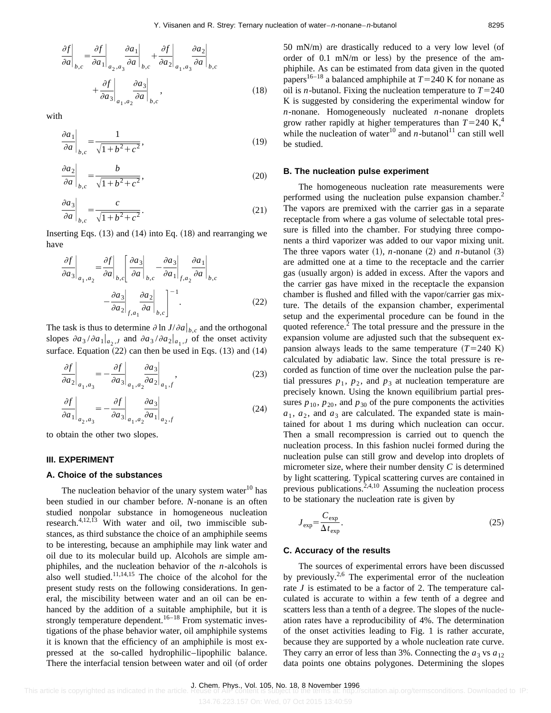$$
\frac{\partial f}{\partial a}\Big|_{b,c} = \frac{\partial f}{\partial a_1}\Big|_{a_2, a_3} \frac{\partial a_1}{\partial a}\Big|_{b,c} + \frac{\partial f}{\partial a_2}\Big|_{a_1, a_3} \frac{\partial a_2}{\partial a}\Big|_{b,c} + \frac{\partial f}{\partial a_3}\Big|_{a_1, a_2} \frac{\partial a_3}{\partial a}\Big|_{b,c},
$$
\n(18)

with

$$
\left. \frac{\partial a_1}{\partial a} \right|_{b,c} = \frac{1}{\sqrt{1 + b^2 + c^2}},\tag{19}
$$

$$
\left. \frac{\partial a_2}{\partial a} \right|_{b,c} = \frac{b}{\sqrt{1 + b^2 + c^2}},\tag{20}
$$

$$
\left. \frac{\partial a_3}{\partial a} \right|_{b,c} = \frac{c}{\sqrt{1 + b^2 + c^2}}.
$$
\n(21)

Inserting Eqs.  $(13)$  and  $(14)$  into Eq.  $(18)$  and rearranging we have

$$
\frac{\partial f}{\partial a_3}\Big|_{a_1, a_2} = \frac{\partial f}{\partial a}\Big|_{b,c} \Bigg[ \frac{\partial a_3}{\partial a}\Big|_{b,c} - \frac{\partial a_3}{\partial a_1}\Big|_{f, a_2} \frac{\partial a_1}{\partial a}\Big|_{b,c} - \frac{\partial a_3}{\partial a_2}\Big|_{f, a_1} \frac{\partial a_2}{\partial a}\Big|_{b,c} \Bigg]^{-1}.
$$
\n(22)

The task is thus to determine  $\partial \ln J/\partial a \big|_{b,c}$  and the orthogonal slopes  $\partial a_3 / \partial a_1 |_{a_2, J}$  and  $\partial a_3 / \partial a_2 |_{a_1, J}$  of the onset activity surface. Equation  $(22)$  can then be used in Eqs.  $(13)$  and  $(14)$ 

$$
\left. \frac{\partial f}{\partial a_2} \right|_{a_1, a_3} = -\left. \frac{\partial f}{\partial a_3} \right|_{a_1, a_2} \left. \frac{\partial a_3}{\partial a_2} \right|_{a_1, f}, \tag{23}
$$

$$
\left. \frac{\partial f}{\partial a_1} \right|_{a_2, a_3} = -\left. \frac{\partial f}{\partial a_3} \right|_{a_1, a_2} \left. \frac{\partial a_3}{\partial a_1} \right|_{a_2, f} \tag{24}
$$

to obtain the other two slopes.

#### **III. EXPERIMENT**

#### **A. Choice of the substances**

The nucleation behavior of the unary system water $10$  has been studied in our chamber before. *N*-nonane is an often studied nonpolar substance in homogeneous nucleation research. $4,12,13$  With water and oil, two immiscible substances, as third substance the choice of an amphiphile seems to be interesting, because an amphiphile may link water and oil due to its molecular build up. Alcohols are simple amphiphiles, and the nucleation behavior of the *n*-alcohols is also well studied. $11,14,15$  The choice of the alcohol for the present study rests on the following considerations. In general, the miscibility between water and an oil can be enhanced by the addition of a suitable amphiphile, but it is strongly temperature dependent.<sup>16–18</sup> From systematic investigations of the phase behavior water, oil amphiphile systems it is known that the efficiency of an amphiphile is most expressed at the so-called hydrophilic–lipophilic balance. There the interfacial tension between water and oil (of order  $50$  mN/m) are drastically reduced to a very low level (of order of  $0.1$  mN/m or less) by the presence of the amphiphile. As can be estimated from data given in the quoted papers<sup>16–18</sup> a balanced amphiphile at  $T=240$  K for nonane as oil is *n*-butanol. Fixing the nucleation temperature to  $T=240$ K is suggested by considering the experimental window for *n*-nonane. Homogeneously nucleated *n*-nonane droplets grow rather rapidly at higher temperatures than  $T=240 \text{ K}^4$ , while the nucleation of water<sup>10</sup> and  $n$ -butanol<sup>11</sup> can still well be studied.

#### **B. The nucleation pulse experiment**

The homogeneous nucleation rate measurements were performed using the nucleation pulse expansion chamber.<sup>2</sup> The vapors are premixed with the carrier gas in a separate receptacle from where a gas volume of selectable total pressure is filled into the chamber. For studying three components a third vaporizer was added to our vapor mixing unit. The three vapors water  $(1)$ , *n*-nonane  $(2)$  and *n*-butanol  $(3)$ are admitted one at a time to the receptacle and the carrier gas (usually argon) is added in excess. After the vapors and the carrier gas have mixed in the receptacle the expansion chamber is flushed and filled with the vapor/carrier gas mixture. The details of the expansion chamber, experimental setup and the experimental procedure can be found in the quoted reference.<sup>2</sup> The total pressure and the pressure in the expansion volume are adjusted such that the subsequent expansion always leads to the same temperature  $(T=240 \text{ K})$ calculated by adiabatic law. Since the total pressure is recorded as function of time over the nucleation pulse the partial pressures  $p_1$ ,  $p_2$ , and  $p_3$  at nucleation temperature are precisely known. Using the known equilibrium partial pressures  $p_{10}$ ,  $p_{20}$ , and  $p_{30}$  of the pure components the activities  $a_1, a_2$ , and  $a_3$  are calculated. The expanded state is maintained for about 1 ms during which nucleation can occur. Then a small recompression is carried out to quench the nucleation process. In this fashion nuclei formed during the nucleation pulse can still grow and develop into droplets of micrometer size, where their number density *C* is determined by light scattering. Typical scattering curves are contained in previous publications. $2,4,10$  Assuming the nucleation process to be stationary the nucleation rate is given by

$$
J_{\rm exp} = \frac{C_{\rm exp}}{\Delta t_{\rm exp}}.\tag{25}
$$

#### **C. Accuracy of the results**

The sources of experimental errors have been discussed by previously.<sup>2,6</sup> The experimental error of the nucleation rate *J* is estimated to be a factor of 2. The temperature calculated is accurate to within a few tenth of a degree and scatters less than a tenth of a degree. The slopes of the nucleation rates have a reproducibility of 4%. The determination of the onset activities leading to Fig. 1 is rather accurate, because they are supported by a whole nucleation rate curve. They carry an error of less than 3%. Connecting the  $a_3$  vs  $a_{12}$ data points one obtains polygones. Determining the slopes

J. Chem. Phys., Vol. 105, No. 18, 8 November 1996<br>This article is copyrighted as indicated in the article. Reuse of AIP content is subject to the terms at: http://scitation.aip.org/termsconditions. Downloaded to IP: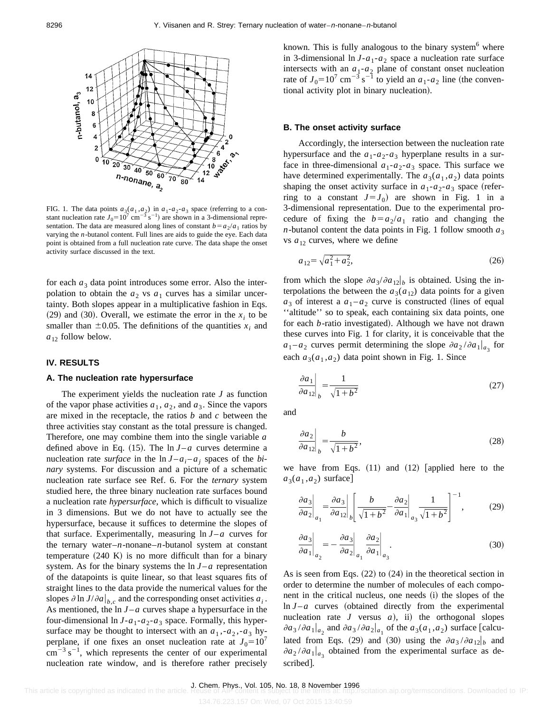

FIG. 1. The data points  $a_3(a_1, a_2)$  in  $a_1-a_2-a_3$  space (referring to a constant nucleation rate  $J_0 = 10^7$  cm<sup>-3</sup> s<sup>-1</sup>) are shown in a 3-dimensional representation. The data are measured along lines of constant  $b = a_2/a_1$  ratios by varying the *n*-butanol content. Full lines are aids to guide the eye. Each data point is obtained from a full nucleation rate curve. The data shape the onset activity surface discussed in the text.

for each  $a_3$  data point introduces some error. Also the interpolation to obtain the  $a_2$  vs  $a_1$  curves has a similar uncertainty. Both slopes appear in a multiplicative fashion in Eqs.  $(29)$  and  $(30)$ . Overall, we estimate the error in the  $x_i$  to be smaller than  $\pm 0.05$ . The definitions of the quantities  $x_i$  and  $a_{12}$  follow below.

#### **IV. RESULTS**

#### **A. The nucleation rate hypersurface**

The experiment yields the nucleation rate *J* as function of the vapor phase activities  $a_1, a_2$ , and  $a_3$ . Since the vapors are mixed in the receptacle, the ratios *b* and *c* between the three activities stay constant as the total pressure is changed. Therefore, one may combine them into the single variable *a* defined above in Eq.  $(15)$ . The ln  $J-a$  curves determine a nucleation rate *surface* in the  $\ln J - a_i - a_j$  spaces of the *binary* systems. For discussion and a picture of a schematic nucleation rate surface see Ref. 6. For the *ternary* system studied here, the three binary nucleation rate surfaces bound a nucleation rate *hypersurface*, which is difficult to visualize in 3 dimensions. But we do not have to actually see the hypersurface, because it suffices to determine the slopes of that surface. Experimentally, measuring  $\ln J - a$  curves for the ternary water–*n*-nonane–*n*-butanol system at constant temperature  $(240 \text{ K})$  is no more difficult than for a binary system. As for the binary systems the  $\ln J - a$  representation of the datapoints is quite linear, so that least squares fits of straight lines to the data provide the numerical values for the slopes  $\partial \ln J/\partial a \big|_{b,c}$  and the corresponding onset activities  $a_i$ . As mentioned, the  $\ln J - a$  curves shape a hypersurface in the four-dimensional  $\ln J - a_1 - a_2 - a_3$  space. Formally, this hypersurface may be thought to intersect with an  $a_1, -a_2, -a_3$  hyperplane, if one fixes an onset nucleation rate at  $J_0=10^7$  $\text{cm}^{-3} \text{ s}^{-1}$ , which represents the center of our experimental nucleation rate window, and is therefore rather precisely known. This is fully analogous to the binary system $<sup>6</sup>$  where</sup> in 3-dimensional  $\ln J - a_1 - a_2$  space a nucleation rate surface intersects with an  $a_1-a_2$  plane of constant onset nucleation rate of  $J_0=10^7 \text{ cm}^{-3} \text{ s}^{-1}$  to yield an  $a_1-a_2$  line (the conventional activity plot in binary nucleation).

#### **B. The onset activity surface**

Accordingly, the intersection between the nucleation rate hypersurface and the  $a_1-a_2-a_3$  hyperplane results in a surface in three-dimensional  $a_1-a_2-a_3$  space. This surface we have determined experimentally. The  $a_3(a_1, a_2)$  data points shaping the onset activity surface in  $a_1 - a_2 - a_3$  space (referring to a constant  $J = J_0$  are shown in Fig. 1 in a 3-dimensional representation. Due to the experimental procedure of fixing the  $b=a_2/a_1$  ratio and changing the *n*-butanol content the data points in Fig. 1 follow smooth  $a_3$ vs  $a_{12}$  curves, where we define

$$
a_{12} = \sqrt{a_1^2 + a_2^2},\tag{26}
$$

from which the slope  $\partial a_3/\partial a_{12}$  is obtained. Using the interpolations the between the  $a_3(a_{12})$  data points for a given  $a_3$  of interest a  $a_1 - a_2$  curve is constructed (lines of equal "altitude" so to speak, each containing six data points, one for each *b*-ratio investigated). Although we have not drawn these curves into Fig. 1 for clarity, it is conceivable that the  $a_1 - a_2$  curves permit determining the slope  $\partial a_2 / \partial a_1 |_{a_3}$  for each  $a_3(a_1, a_2)$  data point shown in Fig. 1. Since

$$
\left. \frac{\partial a_1}{\partial a_{12}} \right|_b = \frac{1}{\sqrt{1 + b^2}}\tag{27}
$$

and

$$
\left. \frac{\partial a_2}{\partial a_{12}} \right|_b = \frac{b}{\sqrt{1+b^2}},\tag{28}
$$

we have from Eqs.  $(11)$  and  $(12)$  [applied here to the  $a_3(a_1, a_2)$  surface]

$$
\left. \frac{\partial a_3}{\partial a_2} \right|_{a_1} = \left. \frac{\partial a_3}{\partial a_{12}} \right|_b \left[ \frac{b}{\sqrt{1+b^2}} - \frac{\partial a_2}{\partial a_1} \right|_{a_3} \frac{1}{\sqrt{1+b^2}} \right]^{-1},\tag{29}
$$

$$
\left. \frac{\partial a_3}{\partial a_1} \right|_{a_2} = -\left. \frac{\partial a_3}{\partial a_2} \right|_{a_1} \left. \frac{\partial a_2}{\partial a_1} \right|_{a_3} . \tag{30}
$$

As is seen from Eqs.  $(22)$  to  $(24)$  in the theoretical section in order to determine the number of molecules of each component in the critical nucleus, one needs (i) the slopes of the  $\ln J - a$  curves (obtained directly from the experimental nucleation rate  $J$  versus  $a$ ), ii) the orthogonal slopes  $\partial a_3 / \partial a_1 |_{a_2}$  and  $\partial a_3 / \partial a_2 |_{a_1}$  of the  $a_3(a_1, a_2)$  surface [calculated from Eqs. (29) and (30) using the  $\partial a_3 / \partial a_{12} |_{b}$  and  $\partial a_2 / \partial a_1 |_{a_2}$  obtained from the experimental surface as described].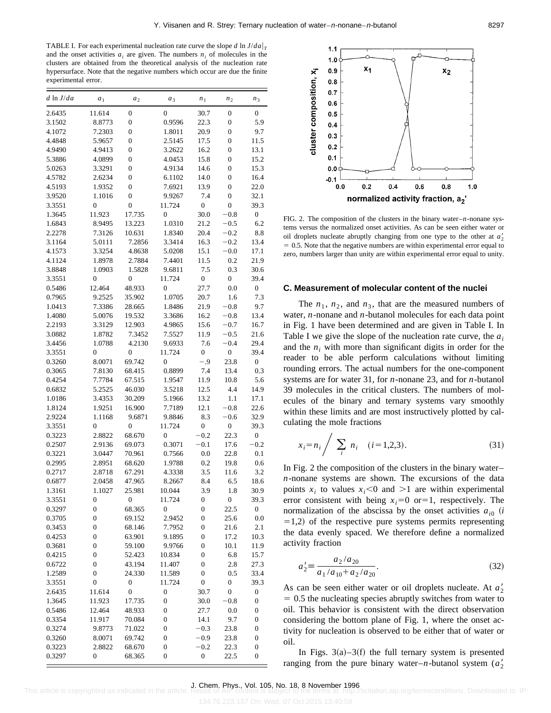TABLE I. For each experimental nucleation rate curve the slope *d* ln  $J/da|_T$ and the onset activities  $a_i$  are given. The numbers  $n_i$  of molecules in the clusters are obtained from the theoretical analysis of the nucleation rate hypersurface. Note that the negative numbers which occur are due the finite experimental error.

| $d \ln J/da$ | a <sub>1</sub>   | a <sub>2</sub>   | $a_3$            | n <sub>1</sub>   | n <sub>2</sub>   | n <sub>3</sub>   |
|--------------|------------------|------------------|------------------|------------------|------------------|------------------|
| 2.6435       | 11.614           | 0                | $\overline{0}$   | 30.7             | 0                | 0                |
| 3.1502       | 8.8773           | $\overline{0}$   | 0.9596           | 22.3             | $\overline{0}$   | 5.9              |
| 4.1072       | 7.2303           | 0                | 1.8011           | 20.9             | $\boldsymbol{0}$ | 9.7              |
| 4.4848       | 5.9657           | 0                | 2.5145           | 17.5             | 0                | 11.5             |
| 4.9490       | 4.9413           | 0                | 3.2622           | 16.2             | $\boldsymbol{0}$ | 13.1             |
| 5.3886       | 4.0899           | $\overline{0}$   | 4.0453           | 15.8             | $\overline{0}$   | 15.2             |
| 5.0263       | 3.3291           | 0                | 4.9134           | 14.6             | $\overline{0}$   | 15.3             |
| 4.5782       | 2.6234           | 0                | 6.1102           | 14.0             | $\boldsymbol{0}$ | 16.4             |
| 4.5193       | 1.9352           | $\overline{0}$   | 7.6921           | 13.9             | $\overline{0}$   | 22.0             |
| 3.9520       | 1.1016           | 0                | 9.9267           | 7.4              | $\boldsymbol{0}$ | 32.1             |
| 3.3551       | $\overline{0}$   | $\boldsymbol{0}$ | 11.724           | $\boldsymbol{0}$ | $\boldsymbol{0}$ | 39.3             |
| 1.3645       | 11.923           | 17.735           | $\overline{0}$   | 30.0             | $-0.8$           | $\boldsymbol{0}$ |
| 1.6843       | 8.9495           | 13.223           | 1.0310           | 21.2             | $-0.5$           | 6.2              |
| 2.2278       | 7.3126           | 10.631           | 1.8340           | 20.4             | $-0.2$           | 8.8              |
| 3.1164       | 5.0111           | 7.2856           | 3.3414           | 16.3             | $-0.2$           | 13.4             |
| 4.1573       | 3.3254           | 4.8638           | 5.0208           | 15.1             | $-0.0$           | 17.1             |
| 4.1124       | 1.8978           | 2.7884           | 7.4401           | 11.5             | 0.2              | 21.9             |
| 3.8848       | 1.0903           | 1.5828           | 9.6811           | 7.5              | 0.3              | 30.6             |
| 3.3551       | $\overline{0}$   | $\overline{0}$   | 11.724           | $\mathbf{0}$     | 0                | 39.4             |
| 0.5486       | 12.464           | 48.933           | $\overline{0}$   | 27.7             | 0.0              | $\boldsymbol{0}$ |
| 0.7965       | 9.2525           | 35.902           | 1.0705           | 20.7             | 1.6              | 7.3              |
| 1.0413       | 7.3386           | 28.665           | 1.8486           | 21.9             | $-0.8$           | 9.7              |
| 1.4080       | 5.0076           | 19.532           | 3.3686           | 16.2             | $-0.8$           | 13.4             |
| 2.2193       | 3.3129           | 12.903           | 4.9865           | 15.6             | $-0.7$           | 16.7             |
| 3.0882       | 1.8782           | 7.3452           | 7.5527           | 11.9             | $-0.5$           | 21.6             |
| 3.4456       | 1.0788           | 4.2130           | 9.6933           | 7.6              | $-0.4$           | 29.4             |
| 3.3551       | $\overline{0}$   | $\overline{0}$   | 11.724           | $\boldsymbol{0}$ | $\mathbf{0}$     | 39.4             |
| 0.3260       | 8.0071           | 69.742           | $\overline{0}$   | -.9              | 23.8             | $\boldsymbol{0}$ |
| 0.3065       | 7.8130           | 68.415           | 0.8899           | 7.4              | 13.4             | 0.3              |
| 0.4254       | 7.7784           | 67.515           | 1.9547           | 11.9             | 10.8             | 5.6              |
| 0.6832       | 5.2525           | 46.030           | 3.5218           | 12.5             | 4.4              | 14.9             |
| 1.0186       | 3.4353           | 30.209           | 5.1966           | 13.2             | 1.1              | 17.1             |
| 1.8124       | 1.9251           | 16.900           | 7.7189           | 12.1             | $-0.8$           | 22.6             |
| 2.9224       | 1.1168           | 9.6871           | 9.8846           | 8.3              | $-0.6$           | 32.9             |
| 3.3551       | $\overline{0}$   | $\overline{0}$   | 11.724           | $\boldsymbol{0}$ | $\boldsymbol{0}$ | 39.3             |
| 0.3223       | 2.8822           | 68.670           | $\overline{0}$   | $-0.2$           | 22.3             | $\boldsymbol{0}$ |
| 0.2507       | 2.9136           | 69.073           | 0.3071           | $-0.1$           | 17.6             | $-0.2$           |
| 0.3221       | 3.0447           | 70.961           | 0.7566           | 0.0              | 22.8             | 0.1              |
| 0.2995       | 2.8951           | 68.620           | 1.9788           | 0.2              | 19.8             | 0.6              |
| 0.2717       | 2.8718           | 67.291           | 4.3338           | 3.5              | 11.6             | 3.2              |
| 0.6877       | 2.0458           | 47.965           | 8.2667           | 8.4              | 6.5              | 18.6             |
| 1.3161       | 1.1027           | 25.981           | 10.044           | 3.9              | 1.8              | 30.9             |
| 3.3551       | 0                | 0                | 11.724           | 0                | 0                | 39.3             |
| 0.3297       | $\boldsymbol{0}$ | 68.365           | 0                | $\boldsymbol{0}$ | 22.5             | 0                |
| 0.3705       | 0                | 69.152           | 2.9452           | 0                | 25.6             | 0.0              |
| 0.3453       | $\boldsymbol{0}$ | 68.146           | 7.7952           | $\boldsymbol{0}$ | 21.6             | 2.1              |
| 0.4253       | 0                | 63.901           | 9.1895           | 0                | 17.2             | 10.3             |
| 0.3681       | 0                | 59.100           | 9.9766           | 0                | 10.1             | 11.9             |
| 0.4215       | $\boldsymbol{0}$ | 52.423           | 10.834           | $\boldsymbol{0}$ | 6.8              | 15.7             |
| 0.6722       | $\boldsymbol{0}$ | 43.194           | 11.407           | $\boldsymbol{0}$ | 2.8              | 27.3             |
| 1.2589       | $\boldsymbol{0}$ | 24.330           | 11.589           | $\boldsymbol{0}$ | 0.5              | 33.4             |
| 3.3551       | $\boldsymbol{0}$ | 0                | 11.724           | 0                | $\boldsymbol{0}$ | 39.3             |
| 2.6435       | 11.614           | $\overline{0}$   | 0                | 30.7             | $\boldsymbol{0}$ | 0                |
| 1.3645       | 11.923           | 17.735           | $\boldsymbol{0}$ | 30.0             | $-0.8$           | 0                |
| 0.5486       | 12.464           | 48.933           | 0                | 27.7             | 0.0              | 0                |
| 0.3354       | 11.917           | 70.084           | $\boldsymbol{0}$ | 14.1             | 9.7              | 0                |
| 0.3274       | 9.8773           | 71.022           | $\boldsymbol{0}$ | $-0.3$           | 23.8             | 0                |
| 0.3260       | 8.0071           | 69.742           | $\boldsymbol{0}$ | $-0.9$           | 23.8             | 0                |
| 0.3223       | 2.8822           | 68.670           | 0                | $-0.2$           | 22.3             | 0                |
| 0.3297       | 0                | 68.365           | $\boldsymbol{0}$ | $\boldsymbol{0}$ | 22.5             | 0                |
|              |                  |                  |                  |                  |                  |                  |



FIG. 2. The composition of the clusters in the binary water–*n*-nonane systems versus the normalized onset activities. As can be seen either water or oil droplets nucleate abruptly changing from one type to the other at  $a_2$ <sup>'</sup>  $= 0.5$ . Note that the negative numbers are within experimental error equal to zero, numbers larger than unity are within experimental error equal to unity.

#### **C. Measurement of molecular content of the nuclei**

The  $n_1$ ,  $n_2$ , and  $n_3$ , that are the measured numbers of water, *n*-nonane and *n*-butanol molecules for each data point in Fig. 1 have been determined and are given in Table I. In Table I we give the slope of the nucleation rate curve, the *ai* and the  $n_i$  with more than significant digits in order for the reader to be able perform calculations without limiting rounding errors. The actual numbers for the one-component systems are for water 31, for *n*-nonane 23, and for *n*-butanol 39 molecules in the critical clusters. The numbers of molecules of the binary and ternary systems vary smoothly within these limits and are most instructively plotted by calculating the mole fractions

$$
x_i = n_i / \sum_i n_i \quad (i = 1, 2, 3). \tag{31}
$$

In Fig. 2 the composition of the clusters in the binary water– *n*-nonane systems are shown. The excursions of the data points  $x_i$  to values  $x_i$ <0 and >1 are within experimental error consistent with being  $x_i=0$  or  $=1$ , respectively. The normalization of the abscissa by the onset activities  $a_{i0}$  *(i)*  $=1,2$ ) of the respective pure systems permits representing the data evenly spaced. We therefore define a normalized activity fraction

$$
a_2' \equiv \frac{a_2/a_{20}}{a_1/a_{10} + a_2/a_{20}}.\tag{32}
$$

As can be seen either water or oil droplets nucleate. At  $a'_2$  $= 0.5$  the nucleating species abruptly switches from water to oil. This behavior is consistent with the direct observation considering the bottom plane of Fig. 1, where the onset activity for nucleation is observed to be either that of water or oil.

In Figs.  $3(a) - 3(f)$  the full ternary system is presented ranging from the pure binary water–*n*-butanol system  $(a'_2)$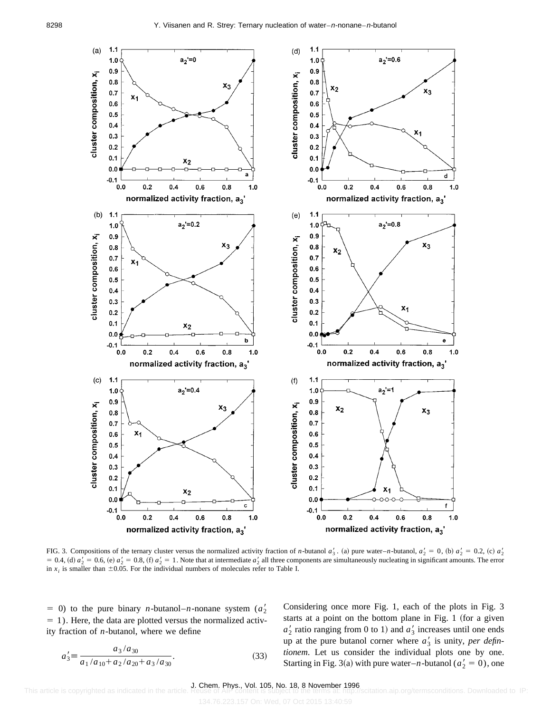

FIG. 3. Compositions of the ternary cluster versus the normalized activity fraction of *n*-butanol  $a'_3$ . (a) pure water–*n*-butanol,  $a'_2 = 0$ , (b)  $a'_2 = 0.2$ , (c)  $a'_2$  $= 0.4$ , (d)  $a'_2 = 0.6$ , (e)  $a'_2 = 0.8$ , (f)  $a'_2 = 1$ . Note that at intermediate  $a'_2$  all three components are simultaneously nucleating in significant amounts. The error in  $x_i$  is smaller than  $\pm 0.05$ . For the individual numbers of molecules refer to Table I.

 $= 0$ ) to the pure binary *n*-butanol–*n*-nonane system ( $a'_2$ )  $= 1$ ). Here, the data are plotted versus the normalized activity fraction of *n*-butanol, where we define

$$
a_3' \equiv \frac{a_3/a_{30}}{a_1/a_{10} + a_2/a_{20} + a_3/a_{30}}.\tag{33}
$$

Considering once more Fig. 1, each of the plots in Fig. 3 starts at a point on the bottom plane in Fig. 1 (for a given  $a'_2$  ratio ranging from 0 to 1) and  $a'_3$  increases until one ends up at the pure butanol corner where  $a'_3$  is unity, *per defintionem*. Let us consider the individual plots one by one. Starting in Fig. 3(a) with pure water–*n*-butanol ( $a'_2 = 0$ ), one